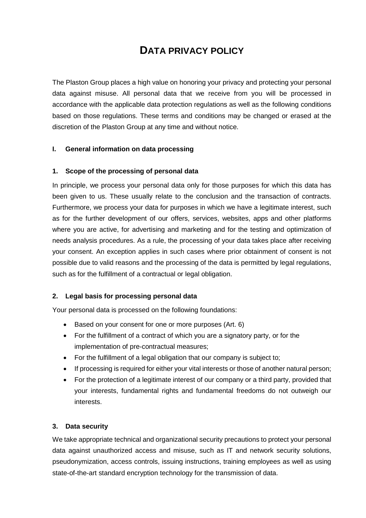# **DATA PRIVACY POLICY**

The Plaston Group places a high value on honoring your privacy and protecting your personal data against misuse. All personal data that we receive from you will be processed in accordance with the applicable data protection regulations as well as the following conditions based on those regulations. These terms and conditions may be changed or erased at the discretion of the Plaston Group at any time and without notice.

# **I. General information on data processing**

#### **1. Scope of the processing of personal data**

In principle, we process your personal data only for those purposes for which this data has been given to us. These usually relate to the conclusion and the transaction of contracts. Furthermore, we process your data for purposes in which we have a legitimate interest, such as for the further development of our offers, services, websites, apps and other platforms where you are active, for advertising and marketing and for the testing and optimization of needs analysis procedures. As a rule, the processing of your data takes place after receiving your consent. An exception applies in such cases where prior obtainment of consent is not possible due to valid reasons and the processing of the data is permitted by legal regulations, such as for the fulfillment of a contractual or legal obligation.

# **2. Legal basis for processing personal data**

Your personal data is processed on the following foundations:

- Based on your consent for one or more purposes (Art. 6)
- For the fulfillment of a contract of which you are a signatory party, or for the implementation of pre-contractual measures;
- For the fulfillment of a legal obligation that our company is subject to;
- If processing is required for either your vital interests or those of another natural person;
- For the protection of a legitimate interest of our company or a third party, provided that your interests, fundamental rights and fundamental freedoms do not outweigh our interests.

#### **3. Data security**

We take appropriate technical and organizational security precautions to protect your personal data against unauthorized access and misuse, such as IT and network security solutions, pseudonymization, access controls, issuing instructions, training employees as well as using state-of-the-art standard encryption technology for the transmission of data.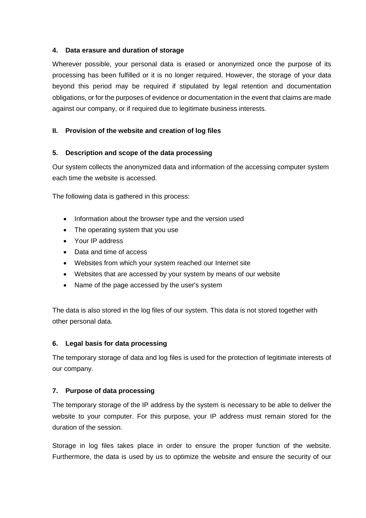## **4. Data erasure and duration of storage**

Wherever possible, your personal data is erased or anonymized once the purpose of its processing has been fulfilled or it is no longer required. However, the storage of your data beyond this period may be required if stipulated by legal retention and documentation obligations, or for the purposes of evidence or documentation in the event that claims are made against our company, or if required due to legitimate business interests.

#### **II. Provision of the website and creation of log files**

#### **5. Description and scope of the data processing**

Our system collects the anonymized data and information of the accessing computer system each time the website is accessed.

The following data is gathered in this process:

- Information about the browser type and the version used
- The operating system that you use
- Your IP address
- Data and time of access
- Websites from which your system reached our Internet site
- Websites that are accessed by your system by means of our website
- Name of the page accessed by the user's system

The data is also stored in the log files of our system. This data is not stored together with other personal data.

#### **6. Legal basis for data processing**

The temporary storage of data and log files is used for the protection of legitimate interests of our company.

#### **7. Purpose of data processing**

The temporary storage of the IP address by the system is necessary to be able to deliver the website to your computer. For this purpose, your IP address must remain stored for the duration of the session.

Storage in log files takes place in order to ensure the proper function of the website. Furthermore, the data is used by us to optimize the website and ensure the security of our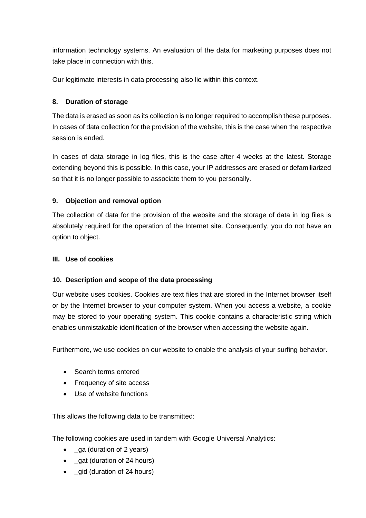information technology systems. An evaluation of the data for marketing purposes does not take place in connection with this.

Our legitimate interests in data processing also lie within this context.

## **8. Duration of storage**

The data is erased as soon as its collection is no longer required to accomplish these purposes. In cases of data collection for the provision of the website, this is the case when the respective session is ended.

In cases of data storage in log files, this is the case after 4 weeks at the latest. Storage extending beyond this is possible. In this case, your IP addresses are erased or defamiliarized so that it is no longer possible to associate them to you personally.

#### **9. Objection and removal option**

The collection of data for the provision of the website and the storage of data in log files is absolutely required for the operation of the Internet site. Consequently, you do not have an option to object.

#### **III. Use of cookies**

#### **10. Description and scope of the data processing**

Our website uses cookies. Cookies are text files that are stored in the Internet browser itself or by the Internet browser to your computer system. When you access a website, a cookie may be stored to your operating system. This cookie contains a characteristic string which enables unmistakable identification of the browser when accessing the website again.

Furthermore, we use cookies on our website to enable the analysis of your surfing behavior.

- Search terms entered
- Frequency of site access
- Use of website functions

This allows the following data to be transmitted:

The following cookies are used in tandem with Google Universal Analytics:

- ga (duration of 2 years)
- gat (duration of 24 hours)
- gid (duration of 24 hours)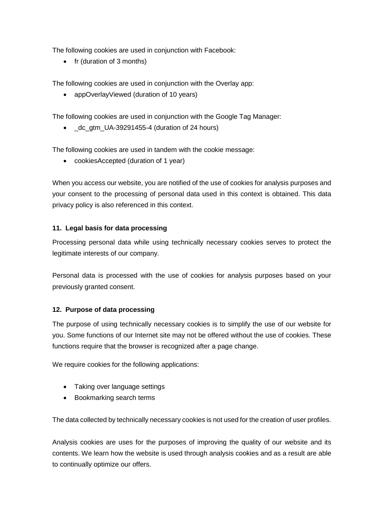The following cookies are used in conjunction with Facebook:

• fr (duration of 3 months)

The following cookies are used in conjunction with the Overlay app:

• appOverlayViewed (duration of 10 years)

The following cookies are used in conjunction with the Google Tag Manager:

• dc gtm UA-39291455-4 (duration of 24 hours)

The following cookies are used in tandem with the cookie message:

• cookiesAccepted (duration of 1 year)

When you access our website, you are notified of the use of cookies for analysis purposes and your consent to the processing of personal data used in this context is obtained. This data privacy policy is also referenced in this context.

# **11. Legal basis for data processing**

Processing personal data while using technically necessary cookies serves to protect the legitimate interests of our company.

Personal data is processed with the use of cookies for analysis purposes based on your previously granted consent.

# **12. Purpose of data processing**

The purpose of using technically necessary cookies is to simplify the use of our website for you. Some functions of our Internet site may not be offered without the use of cookies. These functions require that the browser is recognized after a page change.

We require cookies for the following applications:

- Taking over language settings
- Bookmarking search terms

The data collected by technically necessary cookies is not used for the creation of user profiles.

Analysis cookies are uses for the purposes of improving the quality of our website and its contents. We learn how the website is used through analysis cookies and as a result are able to continually optimize our offers.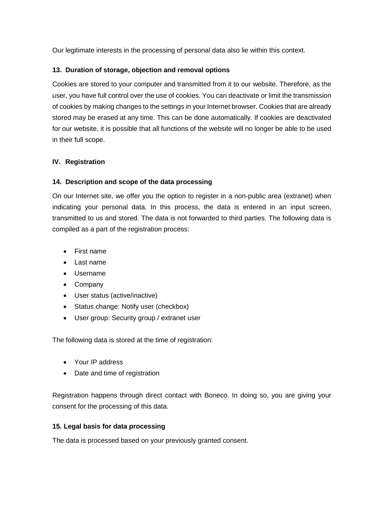Our legitimate interests in the processing of personal data also lie within this context.

# **13. Duration of storage, objection and removal options**

Cookies are stored to your computer and transmitted from it to our website. Therefore, as the user, you have full control over the use of cookies. You can deactivate or limit the transmission of cookies by making changes to the settings in your Internet browser. Cookies that are already stored may be erased at any time. This can be done automatically. If cookies are deactivated for our website, it is possible that all functions of the website will no longer be able to be used in their full scope.

#### **IV. Registration**

#### **14. Description and scope of the data processing**

On our Internet site, we offer you the option to register in a non-public area (extranet) when indicating your personal data. In this process, the data is entered in an input screen, transmitted to us and stored. The data is not forwarded to third parties. The following data is compiled as a part of the registration process:

- First name
- Last name
- Username
- Company
- User status (active/inactive)
- Status change: Notify user (checkbox)
- User group: Security group / extranet user

The following data is stored at the time of registration:

- Your IP address
- Date and time of registration

Registration happens through direct contact with Boneco. In doing so, you are giving your consent for the processing of this data.

# **15. Legal basis for data processing**

The data is processed based on your previously granted consent.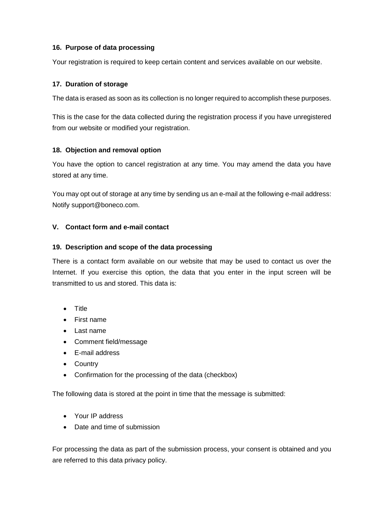# **16. Purpose of data processing**

Your registration is required to keep certain content and services available on our website.

## **17. Duration of storage**

The data is erased as soon as its collection is no longer required to accomplish these purposes.

This is the case for the data collected during the registration process if you have unregistered from our website or modified your registration.

#### **18. Objection and removal option**

You have the option to cancel registration at any time. You may amend the data you have stored at any time.

You may opt out of storage at any time by sending us an e-mail at the following e-mail address: Notify [support@boneco.com.](mailto:support@boneco.com)

#### **V. Contact form and e-mail contact**

#### **19. Description and scope of the data processing**

There is a contact form available on our website that may be used to contact us over the Internet. If you exercise this option, the data that you enter in the input screen will be transmitted to us and stored. This data is:

- Title
- First name
- Last name
- Comment field/message
- E-mail address
- Country
- Confirmation for the processing of the data (checkbox)

The following data is stored at the point in time that the message is submitted:

- Your IP address
- Date and time of submission

For processing the data as part of the submission process, your consent is obtained and you are referred to this data privacy policy.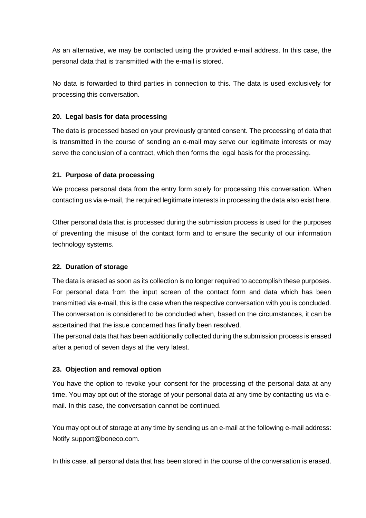As an alternative, we may be contacted using the provided e-mail address. In this case, the personal data that is transmitted with the e-mail is stored.

No data is forwarded to third parties in connection to this. The data is used exclusively for processing this conversation.

# **20. Legal basis for data processing**

The data is processed based on your previously granted consent. The processing of data that is transmitted in the course of sending an e-mail may serve our legitimate interests or may serve the conclusion of a contract, which then forms the legal basis for the processing.

# **21. Purpose of data processing**

We process personal data from the entry form solely for processing this conversation. When contacting us via e-mail, the required legitimate interests in processing the data also exist here.

Other personal data that is processed during the submission process is used for the purposes of preventing the misuse of the contact form and to ensure the security of our information technology systems.

# **22. Duration of storage**

The data is erased as soon as its collection is no longer required to accomplish these purposes. For personal data from the input screen of the contact form and data which has been transmitted via e-mail, this is the case when the respective conversation with you is concluded. The conversation is considered to be concluded when, based on the circumstances, it can be ascertained that the issue concerned has finally been resolved.

The personal data that has been additionally collected during the submission process is erased after a period of seven days at the very latest.

# **23. Objection and removal option**

You have the option to revoke your consent for the processing of the personal data at any time. You may opt out of the storage of your personal data at any time by contacting us via email. In this case, the conversation cannot be continued.

You may opt out of storage at any time by sending us an e-mail at the following e-mail address: Notify [support@boneco.com.](mailto:support@boneco.com)

In this case, all personal data that has been stored in the course of the conversation is erased.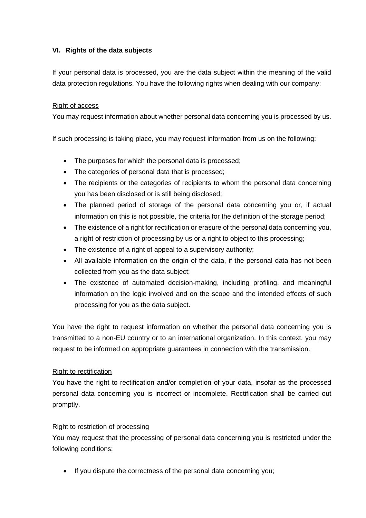# **VI. Rights of the data subjects**

If your personal data is processed, you are the data subject within the meaning of the valid data protection regulations. You have the following rights when dealing with our company:

## Right of access

You may request information about whether personal data concerning you is processed by us.

If such processing is taking place, you may request information from us on the following:

- The purposes for which the personal data is processed;
- The categories of personal data that is processed;
- The recipients or the categories of recipients to whom the personal data concerning you has been disclosed or is still being disclosed;
- The planned period of storage of the personal data concerning you or, if actual information on this is not possible, the criteria for the definition of the storage period;
- The existence of a right for rectification or erasure of the personal data concerning you, a right of restriction of processing by us or a right to object to this processing;
- The existence of a right of appeal to a supervisory authority;
- All available information on the origin of the data, if the personal data has not been collected from you as the data subject;
- The existence of automated decision-making, including profiling, and meaningful information on the logic involved and on the scope and the intended effects of such processing for you as the data subject.

You have the right to request information on whether the personal data concerning you is transmitted to a non-EU country or to an international organization. In this context, you may request to be informed on appropriate guarantees in connection with the transmission.

# Right to rectification

You have the right to rectification and/or completion of your data, insofar as the processed personal data concerning you is incorrect or incomplete. Rectification shall be carried out promptly.

# Right to restriction of processing

You may request that the processing of personal data concerning you is restricted under the following conditions:

• If you dispute the correctness of the personal data concerning you;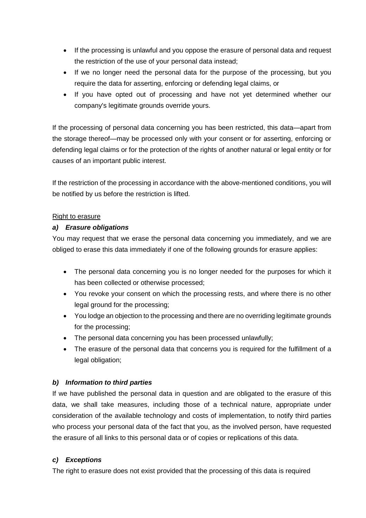- If the processing is unlawful and you oppose the erasure of personal data and request the restriction of the use of your personal data instead;
- If we no longer need the personal data for the purpose of the processing, but you require the data for asserting, enforcing or defending legal claims, or
- If you have opted out of processing and have not yet determined whether our company's legitimate grounds override yours.

If the processing of personal data concerning you has been restricted, this data—apart from the storage thereof—may be processed only with your consent or for asserting, enforcing or defending legal claims or for the protection of the rights of another natural or legal entity or for causes of an important public interest.

If the restriction of the processing in accordance with the above-mentioned conditions, you will be notified by us before the restriction is lifted.

#### Right to erasure

# *a) Erasure obligations*

You may request that we erase the personal data concerning you immediately, and we are obliged to erase this data immediately if one of the following grounds for erasure applies:

- The personal data concerning you is no longer needed for the purposes for which it has been collected or otherwise processed;
- You revoke your consent on which the processing rests, and where there is no other legal ground for the processing;
- You lodge an objection to the processing and there are no overriding legitimate grounds for the processing;
- The personal data concerning you has been processed unlawfully;
- The erasure of the personal data that concerns you is required for the fulfillment of a legal obligation;

# *b) Information to third parties*

If we have published the personal data in question and are obligated to the erasure of this data, we shall take measures, including those of a technical nature, appropriate under consideration of the available technology and costs of implementation, to notify third parties who process your personal data of the fact that you, as the involved person, have requested the erasure of all links to this personal data or of copies or replications of this data.

# *c) Exceptions*

The right to erasure does not exist provided that the processing of this data is required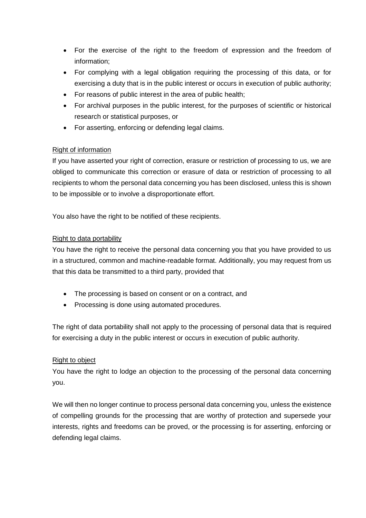- For the exercise of the right to the freedom of expression and the freedom of information;
- For complying with a legal obligation requiring the processing of this data, or for exercising a duty that is in the public interest or occurs in execution of public authority;
- For reasons of public interest in the area of public health;
- For archival purposes in the public interest, for the purposes of scientific or historical research or statistical purposes, or
- For asserting, enforcing or defending legal claims.

# Right of information

If you have asserted your right of correction, erasure or restriction of processing to us, we are obliged to communicate this correction or erasure of data or restriction of processing to all recipients to whom the personal data concerning you has been disclosed, unless this is shown to be impossible or to involve a disproportionate effort.

You also have the right to be notified of these recipients.

# Right to data portability

You have the right to receive the personal data concerning you that you have provided to us in a structured, common and machine-readable format. Additionally, you may request from us that this data be transmitted to a third party, provided that

- The processing is based on consent or on a contract, and
- Processing is done using automated procedures.

The right of data portability shall not apply to the processing of personal data that is required for exercising a duty in the public interest or occurs in execution of public authority.

# Right to object

You have the right to lodge an objection to the processing of the personal data concerning you.

We will then no longer continue to process personal data concerning you, unless the existence of compelling grounds for the processing that are worthy of protection and supersede your interests, rights and freedoms can be proved, or the processing is for asserting, enforcing or defending legal claims.